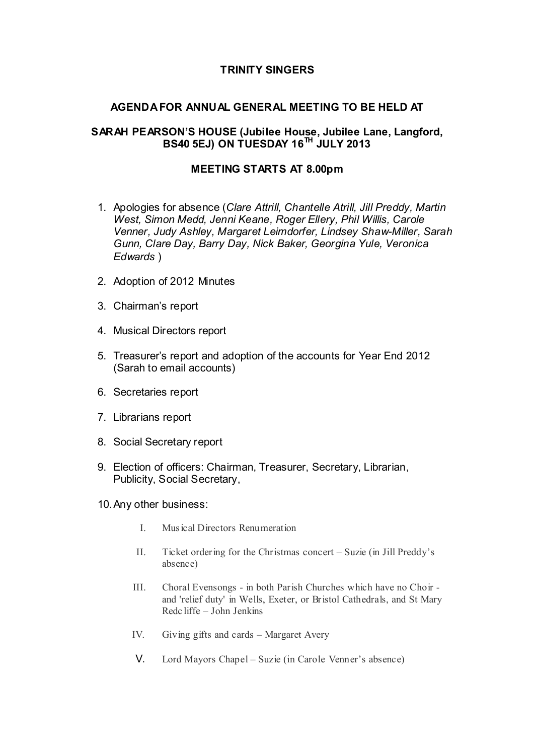# **TRINITY SINGERS**

## **AGENDA FOR ANNUAL GENERAL MEETING TO BE HELD AT**

## **SARAH PEARSON'S HOUSE (Jubilee House, Jubilee Lane, Langford, BS40 5EJ) ON TUESDAY 16TH JULY 2013**

## **MEETING STARTS AT 8.00pm**

- 1. Apologies for absence (*Clare Attrill, Chantelle Atrill, Jill Preddy, Martin West, Simon Medd, Jenni Keane, Roger Ellery, Phil Willis, Carole Venner, Judy Ashley, Margaret Leimdorfer, Lindsey Shaw-Miller, Sarah Gunn, Clare Day, Barry Day, Nick Baker, Georgina Yule, Veronica Edwards* )
- 2. Adoption of 2012 Minutes
- 3. Chairman's report
- 4. Musical Directors report
- 5. Treasurer's report and adoption of the accounts for Year End 2012 (Sarah to email accounts)
- 6. Secretaries report
- 7. Librarians report
- 8. Social Secretary report
- 9. Election of officers: Chairman, Treasurer, Secretary, Librarian, Publicity, Social Secretary,
- 10.Any other business:
	- I. Mus ical Directors Renumeration
	- II. Ticket ordering for the Christmas concert Suzie (in Jill Preddy's absence)
	- III. Choral Evensongs in both Parish Churches which have no Choir and 'relief duty' in Wells, Exeter, or Bristol Cathedrals, and St Mary Redc liffe – John Jenkins
	- IV. Giving gifts and cards Margaret Avery
	- V. Lord Mayors Chapel Suzie (in Carole Venner's absence)